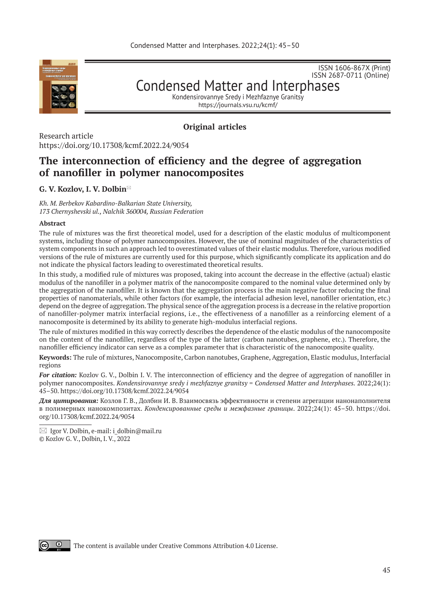

ISSN 2687-0711 (Online)

ISSN 1606-867Х (Print)

Condensed Matter and Interphases Kondensirovannye Sredy i Mezhfaznye Granitsy

https://journals.vsu.ru/kcmf/

# **Original articles**

Research article https://doi.org/10.17308/kcmf.2022.24/9054

# **The interconnection of efficiency and the degree of aggregation of nanofiller in polymer nanocomposites**

# **G. V. Kozlov, I. V. Dolbin \***

*Kh. M. Berbekov Kabardino-Balkarian State University, 173 Chernyshevski ul., Nalchik 360004, Russian Federation*

### **Abstract**

The rule of mixtures was the first theoretical model, used for a description of the elastic modulus of multicomponent systems, including those of polymer nanocomposites. However, the use of nominal magnitudes of the characteristics of system components in such an approach led to overestimated values of their elastic modulus. Therefore, various modified versions of the rule of mixtures are currently used for this purpose, which significantly complicate its application and do not indicate the physical factors leading to overestimated theoretical results.

In this study, a modified rule of mixtures was proposed, taking into account the decrease in the effective (actual) elastic modulus of the nanofiller in a polymer matrix of the nanocomposite compared to the nominal value determined only by the aggregation of the nanofiller. It is known that the aggregation process is the main negative factor reducing the final properties of nanomaterials, while other factors (for example, the interfacial adhesion level, nanofiller orientation, etc.) depend on the degree of aggregation. The physical sence of the aggregation process is a decrease in the relative proportion of nanofiller-polymer matrix interfacial regions, i.e., the effectiveness of a nanofiller as a reinforcing element of a nanocomposite is determined by its ability to generate high-modulus interfacial regions.

The rule of mixtures modified in this way correctly describes the dependence of the elastic modulus of the nanocomposite on the content of the nanofiller, regardless of the type of the latter (carbon nanotubes, graphene, etc.). Therefore, the nanofiller efficiency indicator can serve as a complex parameter that is characteristic of the nanocomposite quality.

**Keywords:** The rule of mixtures, Nanocomposite, Carbon nanotubes, Graphene, Aggregation, Elastic modulus, Interfacial regions

*For citation:* Kozlov G. V., Dolbin I. V. The interconnection of efficiency and the degree of aggregation of nanofiller in polymer nanocomposites. *Kondensirovannye sredy i mezhfaznye granitsy = Condensed Matter and Interphases.* 2022;24(1): 45–50. https://doi.org/10.17308/kcmf.2022.24/9054

*Для цитирования:* Козлов Г. В., Долбин И. В. Взаимосвязь эффективности и степени агрегации нанонаполнителя в полимерных нанокомпозитах. *Конденсированные среды и межфазные границы*. 2022;24(1): 45–50. https://doi. org/10.17308/kcmf.2022.24/9054



The content is available under Creative Commons Attribution 4.0 License.

 $\boxtimes$  Igor V. Dolbin, e-mail: i\_dolbin@mail.ru © Kozlov G. V., Dolbin, I. V., 2022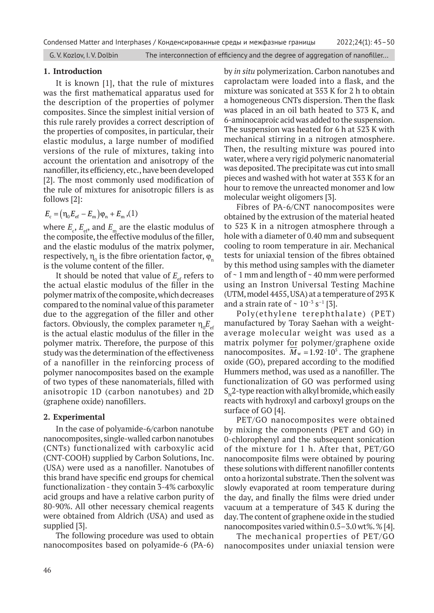### **1. Introduction**

It is known [1], that the rule of mixtures was the first mathematical apparatus used for the description of the properties of polymer composites. Since the simplest initial version of this rule rarely provides a correct description of the properties of composites, in particular, their elastic modulus, a large number of modified versions of the rule of mixtures, taking into account the orientation and anisotropy of the nanofiller, its efficiency, etc., have been developed [2]. The most commonly used modification of the rule of mixtures for anisotropic fillers is as follows [2]:

$$
E_{\rm c} = (\eta_0 E_{\rm ef} - E_{\rm m}) \varphi_{\rm n} + E_{\rm m}
$$
, (1)

where  $E_{\rm c}$ ,  $E_{\rm e\!}$  and  $E_{\rm m}$  are the elastic modulus of the composite, the effective modulus of the filler, and the elastic modulus of the matrix polymer, respectively,  $\boldsymbol{\mathsf{n}}_{\text{o}}$  is the fibre orientation factor,  $\boldsymbol{\mathsf{\varphi}}_{\text{n}}$ is the volume content of the filler.

It should be noted that value of  $E_{\text{eff}}$  refers to the actual elastic modulus of the filler in the polymer matrix of the composite, which decreases compared to the nominal value of this parameter due to the aggregation of the filler and other factors. Obviously, the complex parameter  $\eta^{\vphantom{\dagger}}_{0}$   $E^{\vphantom{\dagger}}_{\rm ef}$ is the actual elastic modulus of the filler in the polymer matrix. Therefore, the purpose of this study was the determination of the effectiveness of a nanofiller in the reinforcing process of polymer nanocomposites based on the example of two types of these nanomaterials, filled with anisotropic 1D (carbon nanotubes) and 2D (graphene oxide) nanofillers.

### **2. Experimental**

In the case of polyamide-6/carbon nanotube nanocomposites, single-walled carbon nanotubes (CNTs) functionalized with carboxylic acid (CNT-COOH) supplied by Carbon Solutions, Inc. (USA) were used as a nanofiller. Nanotubes of this brand have specific end groups for chemical functionalization - they contain 3-4% carboxylic acid groups and have a relative carbon purity of 80-90%. All other necessary chemical reagents were obtained from Aldrich (USA) and used as supplied [3].

The following procedure was used to obtain nanocomposites based on polyamide-6 (PA-6) by *in situ* polymerization. Carbon nanotubes and caprolactam were loaded into a flask, and the mixture was sonicated at 353 K for 2 h to obtain a homogeneous CNTs dispersion. Then the flask was placed in an oil bath heated to 373 K, and 6-aminocaproic acid was added to the suspension. The suspension was heated for 6 h at 523 K with mechanical stirring in a nitrogen atmosphere. Then, the resulting mixture was poured into water, where a very rigid polymeric nanomaterial was deposited. The precipitate was cut into small pieces and washed with hot water at 353 K for an hour to remove the unreacted monomer and low molecular weight oligomers [3].

Fibres of PA-6/CNT nanocomposites were obtained by the extrusion of the material heated to 523 K in a nitrogen atmosphere through a hole with a diameter of 0.40 mm and subsequent cooling to room temperature in air. Mechanical tests for uniaxial tension of the fibres obtained by this method using samples with the diameter of ~ 1 mm and length of ~ 40 mm were performed using an Instron Universal Testing Machine (UTM, model 4455, USA) at a temperature of 293 K and a strain rate of  $\sim 10^{-3}$  s<sup>-1</sup> [3].

Poly(ethylene terephthalate) (PET) manufactured by Toray Saehan with a weightaverage molecular weight was used as a matrix polymer for polymer/graphene oxide nanocomposites.  $M_w = 1.92 \cdot 10^5$ . The graphene oxide (GO), prepared according to the modified Hummers method, was used as a nanofiller. The functionalization of GO was performed using  $S_{N2}$ -type reaction with alkyl bromide, which easily reacts with hydroxyl and carboxyl groups on the surface of GO [4].

PET/GO nanocomposites were obtained by mixing the components (PET and GO) in 0-chlorophenyl and the subsequent sonication of the mixture for 1 h. After that, PET/GO nanocomposite films were obtained by pouring these solutions with different nanofiller contents onto a horizontal substrate. Then the solvent was slowly evaporated at room temperature during the day, and finally the films were dried under vacuum at a temperature of 343 K during the day. The content of graphene oxide in the studied nanocomposites varied within 0.5–3.0 wt%. % [4].

The mechanical properties of PET/GO nanocomposites under uniaxial tension were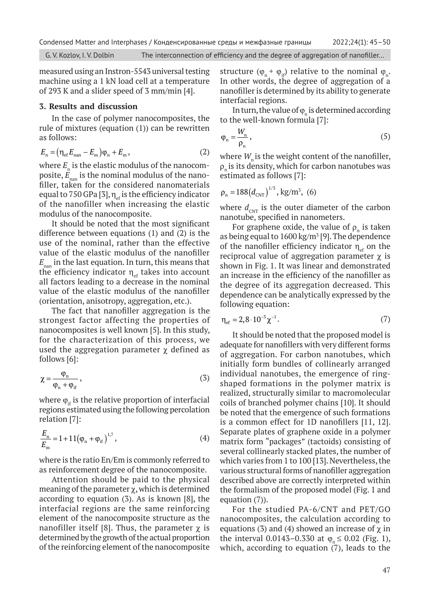measured using an Instron-5543 universal testing machine using a 1 kN load cell at a temperature of 293 K and a slider speed of 3 mm/min [4].

# **3. Results and discussion**

In the case of polymer nanocomposites, the rule of mixtures (equation (1)) can be rewritten as follows:

$$
E_{\rm n} = \left(\eta_{\rm ef}E_{\rm nan} - E_{\rm m}\right)\varphi_{\rm n} + E_{\rm m},\tag{2}
$$

where  $E_n$  is the elastic modulus of the nanocomposite,  $\mathbf{E}_{\text{nan}}$  is the nominal modulus of the nanofiller, taken for the considered nanomaterials equal to 750 GPa [3],  $\eta_{\text{eff}}$  is the efficiency indicator of the nanofiller when increasing the elastic modulus of the nanocomposite.

It should be noted that the most significant difference between equations (1) and (2) is the use of the nominal, rather than the effective value of the elastic modulus of the nanofiller  $E_{\mbox{\tiny nan}}$  in the last equation. In turn, this means that the efficiency indicator  $\eta_{\text{eff}}$  takes into account all factors leading to a decrease in the nominal value of the elastic modulus of the nanofiller (orientation, anisotropy, aggregation, etc.).

The fact that nanofiller aggregation is the strongest factor affecting the properties of nanocomposites is well known [5]. In this study, for the characterization of this process, we used the aggregation parameter  $\chi$  defined as follows [6]:

$$
\chi = \frac{\varphi_n}{\varphi_n + \varphi_{if}}\,,\tag{3}
$$

where  $\varphi_{if}$  is the relative proportion of interfacial regions estimated using the following percolation relation [7]:

$$
\frac{E_{\rm n}}{E_{\rm m}} = 1 + 11(\varphi_{\rm n} + \varphi_{\rm if})^{1,7},\tag{4}
$$

where is the ratio En/Em is commonly referred to as reinforcement degree of the nanocomposite.

Attention should be paid to the physical meaning of the parameter  $\chi$ , which is determined according to equation (3). As is known [8], the interfacial regions are the same reinforcing element of the nanocomposite structure as the nanofiller itself [8]. Thus, the parameter  $\chi$  is determined by the growth of the actual proportion of the reinforcing element of the nanocomposite

structure  $(\varphi_n + \varphi_{if})$  relative to the nominal  $\varphi_n$ . In other words, the degree of aggregation of a nanofiller is determined by its ability to generate interfacial regions.

In turn, the value of  $\varphi_n$  is determined according to the well-known formula [7]:

$$
\varphi_n = \frac{W_n}{\rho_n},\tag{5}
$$

where  $W_{\text{n}}$  is the weight content of the nanofiller,  $\rho_n$  is its density, which for carbon nanotubes was estimated as follows [7]:

$$
\rho_{\rm n} = 188 \left( d_{\rm CNT} \right)^{1/3}, \text{kg/m}^3, \text{ (6)}
$$

where  $d_{\text{CNT}}$  is the outer diameter of the carbon nanotube, specified in nanometers.

For graphene oxide, the value of  $\rho_n$  is taken as being equal to  $1600 \,\mathrm{kg/m^3}$  [9]. The dependence of the nanofiller efficiency indicator  $\eta_{\text{eff}}$  on the reciprocal value of aggregation parameter  $\chi$  is shown in Fig. 1. It was linear and demonstrated an increase in the efficiency of the nanofiller as the degree of its aggregation decreased. This dependence can be analytically expressed by the following equation:

$$
\eta_{\rm ef} = 2.8 \cdot 10^{-3} \chi^{-1}.
$$
 (7)

It should be noted that the proposed model is adequate for nanofillers with very different forms of aggregation. For carbon nanotubes, which initially form bundles of collinearly arranged individual nanotubes, the emergence of ringshaped formations in the polymer matrix is realized, structurally similar to macromolecular coils of branched polymer chains [10]. It should be noted that the emergence of such formations is a common effect for 1D nanofillers [11, 12]. Separate plates of graphene oxide in a polymer matrix form "packages" (tactoids) consisting of several collinearly stacked plates, the number of which varies from 1 to 100 [13]. Nevertheless, the various structural forms of nanofiller aggregation described above are correctly interpreted within the formalism of the proposed model (Fig. 1 and equation (7)).

For the studied PA-6/CNT and PET/GO nanocomposites, the calculation according to equations (3) and (4) showed an increase of  $\chi$  in the interval 0.0143–0.330 at  $\varphi_n \le 0.02$  (Fig. 1), which, according to equation  $(7)$ , leads to the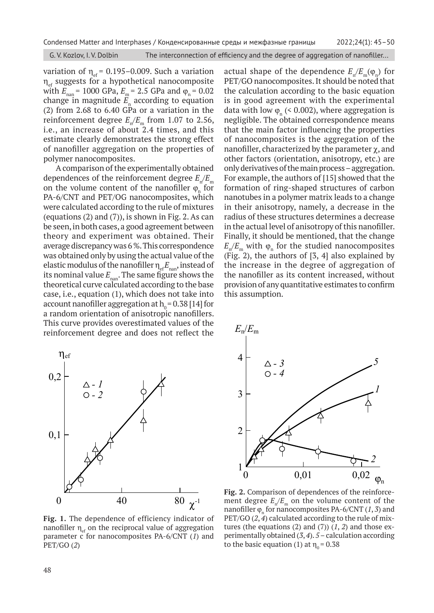variation of  $\eta_{\text{ef}}$  = 0.195–0.009. Such a variation  $\eta_{\text{eff}}$  suggests for a hypothetical nanocomposite with  $E_{\text{nan}}$  = 1000 GPa,  $E_{\text{m}}$  = 2.5 GPa and  $\varphi_{\text{n}}$  = 0.02 change in magnitude  $E_{n}$  according to equation (2) from 2.68 to 6.40 GPa or a variation in the reinforcement degree  $E_n/E_m$  from 1.07 to 2.56, i.e., an increase of about 2.4 times, and this estimate clearly demonstrates the strong effect of nanofiller aggregation on the properties of polymer nanocomposites.

A comparison of the experimentally obtained dependences of the reinforcement degree  $E_{\gamma}/E_{\gamma}$ on the volume content of the nanofiller  $\varphi_n$  for PA-6/CNT and PET/OG nanocomposites, which were calculated according to the rule of mixtures (equations (2) and (7)), is shown in Fig. 2. As can be seen, in both cases, a good agreement between theory and experiment was obtained. Their average discrepancy was 6 %. This correspondence was obtained only by using the actual value of the elastic modulus of the nanofiller  $\eta_{\text{eff}} E_{\text{nan}}$ , instead of its nominal value  $E_{\text{nan}}$ . The same figure shows the theoretical curve calculated according to the base case, i.e., equation (1), which does not take into account nanofiller aggregation at  $h_0 = 0.38$  [14] for a random orientation of anisotropic nanofillers. This curve provides overestimated values of the reinforcement degree and does not reflect the



**Fig. 1.** The dependence of efficiency indicator of nanofiller  $\eta_{\text{eff}}$  on the reciprocal value of aggregation parameter c for nanocomposites PA-6/CNT (*1*) and PET/GO (*2*)

actual shape of the dependence  $E_n/E_m(\varphi_n)$  for  $PET/GO$  nanocomposites. It should be noted that the calculation according to the basic equation the calculation according to the basic equation<br>*is in good agreement with the experimental* data with low  $\varphi_n$  (< 0.002), where aggregation is negligible. The obtained correspondence means that the main factor influencing the properties and the main ractor inhuenting the properties<br>of nanocomposites is the aggregation of the nanofiller, characterized by the parameter  $\chi$ , and other factors (orientation, anisotropy, etc.) are only derivatives of the main process – aggregation. For example, the authors of [15] showed that the formation of ring-shaped structures of carbon nanotubes in a polymer matrix leads to a change<br>in their arisotromy namely a decrease in the nanotubes in a polymer matrix leads to a change<br>in their anisotropy, namely, a decrease in the radius of these structures determines a decrease in the actual level of anisotropy of this nanofiller. Finally, it should be mentioned, that the change  $E_n/E_m$  with  $\varphi_n$  for the studied nanocomposites (Fig. 2), the authors of [3, 4] also explained by the increase in the degree of aggregation of the nanofiller as its content increased, without provision of any quantitative estimates to confirm this assumption. *- 1* 



**Fig. 2.** Comparison of dependences of the reinforcement degree  $E_{n}/E_{m}$  on the volume content of the nanofiller  $\varphi_n$  for nanocomposites PA-6/CNT (1, 3) and PET/GO (*2*, *4*) calculated according to the rule of mixtures (the equations  $(2)$  and  $(7)$ )  $(1, 2)$  and those experimentally obtained (*3*, *4*). *5* – calculation according to the basic equation (1) at  $\eta_0 = 0.38$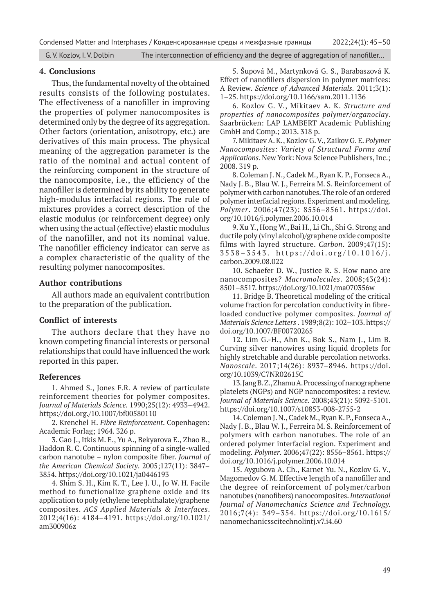### **4. Conclusions**

Thus, the fundamental novelty of the obtained results consists of the following postulates. The effectiveness of a nanofiller in improving the properties of polymer nanocomposites is determined only by the degree of its aggregation. Other factors (orientation, anisotropy, etc.) are derivatives of this main process. The physical meaning of the aggregation parameter is the ratio of the nominal and actual content of the reinforcing component in the structure of the nanocomposite, i.e., the efficiency of the nanofiller is determined by its ability to generate high-modulus interfacial regions. The rule of mixtures provides a correct description of the elastic modulus (or reinforcement degree) only when using the actual (effective) elastic modulus of the nanofiller, and not its nominal value. The nanofiller efficiency indicator can serve as a complex characteristic of the quality of the resulting polymer nanocomposites.

## **Author contributions**

All authors made an equivalent contribution to the preparation of the publication.

### **Conflict of interests**

The authors declare that they have no known competing financial interests or personal relationships that could have influenced the work reported in this paper.

### **References**

1. Ahmed S., Jones F.R. A review of particulate reinforcement theories for polymer composites. *Journal of Materials Science.* 1990;25(12): 4933–4942. https://doi.org./10.1007/bf00580110

2. Krenchel H. *Fibre Reinforcement*. Copenhagen: Academic Forlag; 1964. 326 p.

3. Gao J., Itkis M. E., Yu A., Bekyarova E., Zhao B., Haddon R. C. Continuous spinning of a single-walled carbon nanotube – nylon composite fiber. *Journal of the American Chemical Society*. 2005;127(11): 3847– 3854. https://doi.org/10.1021/ja0446193

4. Shim S. H., Kim K. T., Lee J. U., Jo W. H. Facile method to functionalize graphene oxide and its application to poly (ethylene terephthalate)/graphene composites. *ACS Applied Materials & Interfaces*. 2012;4(16): 4184–4191. https://doi.org/10.1021/ am300906z

5. Šupová M., Martynková G. S., Barabaszová K. Effect of nanofillers dispersion in polymer matrices: A Review. *Science of Advanced Materials.* 2011;3(1): 1–25. https://doi.org/10.1166/sam.2011.1136

6. Kozlov G. V., Mikitaev A. K. *Structure and properties of nanocomposites polymer/organoclay*. Saarbrücken: LAP LAMBERT Academic Publishing GmbH and Comp.; 2013. 318 p.

7. Mikitaev A. K., Kozlov G. V., Zaikov G. E. *Polymer Nanocomposites: Variety of Structural Forms and Applications*. New York: Nova Science Publishers, Inc.; 2008. 319 p.

8. Coleman J. N., Cadek M., Ryan K. P., Fonseca A., Nady J. B., Blau W. J., Ferreira M. S. Reinforcement of polymer with carbon nanotubes. The role of an ordered polymer interfacial regions. Experiment and modeling. *Polymer*. 2006;47(23): 8556–8561. https://doi. org/10.1016/j.polymer.2006.10.014

9. Xu Y., Hong W., Bai H., Li Ch., Shi G. Strong and ductile poly (vinyl alcohol)/graphene oxide composite films with layred structure. *Carbon*. 2009;47(15): 3538–3543. https://doi.org/10.1016/j. carbon.2009.08.022

10. Schaefer D. W., Justice R. S. How nano are nanocomposites? *Macromolecules*. 2008;43(24): 8501–8517. https://doi.org/10.1021/ma070356w

11. Bridge B. Theoretical modeling of the critical volume fraction for percolation conductivity in fibreloaded conductive polymer composites. *Journal of Materials Science Letters .* 1989;8(2): 102–103. https:// doi.org/10.1007/BF00720265

12. Lim G.-H., Ahn K., Bok S., Nam J., Lim B. Curving silver nanowires using liquid droplets for highly stretchable and durable percolation networks. *Nanoscale*. 2017;14(26): 8937–8946. https://doi. org/10.1039/C7NR02615C

13. Jang B. Z., Zhamu A. Processing of nanographene platelets (NGPs) and NGP nanocomposites: a review. *Journal of Materials Science.* 2008;43(21): 5092-5101. https://doi.org/10.1007/s10853-008-2755-2

14. Coleman J. N., Cadek M., Ryan K. P., Fonseca A., Nady J. B., Blau W. J., Ferreira M. S. Reinforcement of polymers with carbon nanotubes. The role of an ordered polymer interfacial region. Experiment and modeling. *Polymer*. 2006;47(22): 8556–8561. https:// doi.org/10.1016/j.polymer.2006.10.014

15. Aygubova A. Ch., Karnet Yu. N., Kozlov G. V., Magomedov G. M. Effective length of a nanofiller and the degree of reinforcement of polymer/carbon nanotubes (nanofibers) nanocomposites. *International Journal of Nanomechanics Science and Technology.*  2016;7(4): 349–354. https://doi.org/10.1615/ nanomechanicsscitechnolintj.v7.i4.60